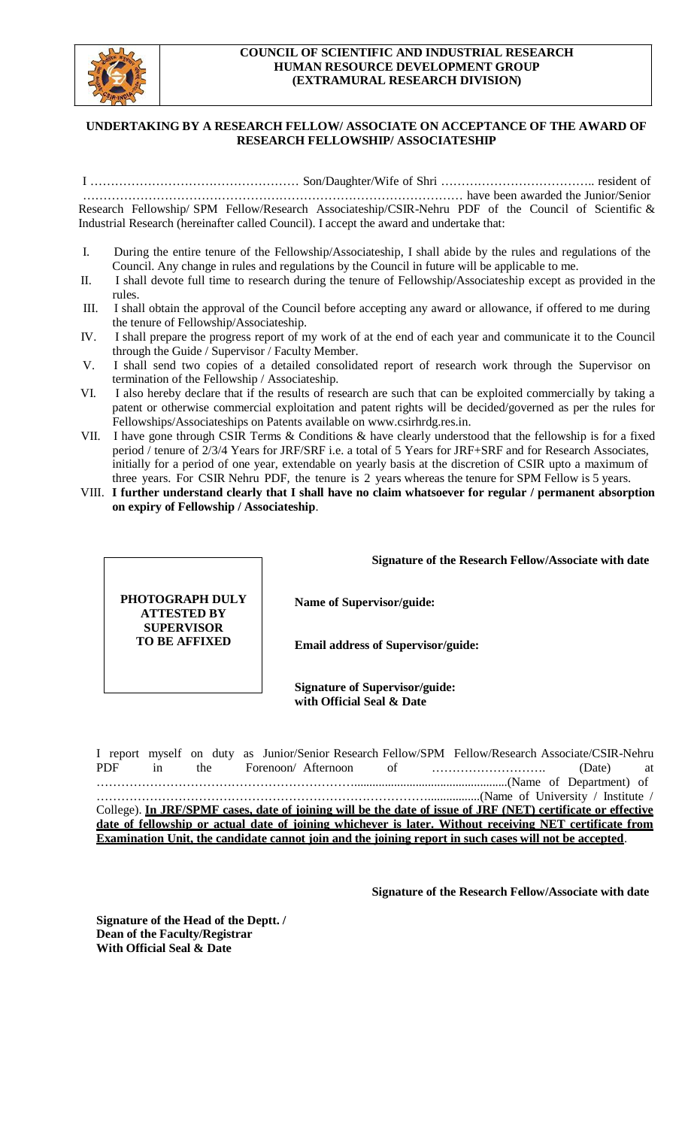

## **COUNCIL OF SCIENTIFIC AND INDUSTRIAL RESEARCH HUMAN RESOURCE DEVELOPMENT GROUP (EXTRAMURAL RESEARCH DIVISION)**

## **UNDERTAKING BY A RESEARCH FELLOW/ ASSOCIATE ON ACCEPTANCE OF THE AWARD OF RESEARCH FELLOWSHIP/ ASSOCIATESHIP**

I …………………………………………… Son/Daughter/Wife of Shri ……………………………….. resident of ………………………………………………………………………………… have been awarded the Junior/Senior Research Fellowship/ SPM Fellow/Research Associateship/CSIR-Nehru PDF of the Council of Scientific & Industrial Research (hereinafter called Council). I accept the award and undertake that:

- I. During the entire tenure of the Fellowship/Associateship, I shall abide by the rules and regulations of the Council. Any change in rules and regulations by the Council in future will be applicable to me.
- II. I shall devote full time to research during the tenure of Fellowship/Associateship except as provided in the rules.
- III. I shall obtain the approval of the Council before accepting any award or allowance, if offered to me during the tenure of Fellowship/Associateship.
- IV. I shall prepare the progress report of my work of at the end of each year and communicate it to the Council through the Guide / Supervisor / Faculty Member.
- V. I shall send two copies of a detailed consolidated report of research work through the Supervisor on termination of the Fellowship / Associateship.
- VI. I also hereby declare that if the results of research are such that can be exploited commercially by taking a patent or otherwise commercial exploitation and patent rights will be decided/governed as per the rules for Fellowships/Associateships on Patents availab[le on www.csirhrdg.res.in.](http://www.csirhrdg.res.in/)
- VII. I have gone through CSIR Terms & Conditions & have clearly understood that the fellowship is for a fixed period / tenure of 2/3/4 Years for JRF/SRF i.e. a total of 5 Years for JRF+SRF and for Research Associates, initially for a period of one year, extendable on yearly basis at the discretion of CSIR upto a maximum of three years. For CSIR Nehru PDF, the tenure is 2 years whereas the tenure for SPM Fellow is 5 years.
- VIII. **I further understand clearly that I shall have no claim whatsoever for regular / permanent absorption on expiry of Fellowship / Associateship**.

**Signature of the Research Fellow/Associate with date**

**Name of Supervisor/guide:**

**Email address of Supervisor/guide:** 

**Signature of Supervisor/guide: with Official Seal & Date**

I report myself on duty as Junior/Senior Research Fellow/SPM Fellow/Research Associate/CSIR-Nehru PDF in the Forenoon/ Afternoon of ………………………. (Date) at ………………………………………………………..................................................(Name of Department) of ……………………………………………………………………….................(Name of University / Institute / College). **In JRF/SPMF cases, date of joining will be the date of issue of JRF (NET) certificate or effective date of fellowship or actual date of joining whichever is later. Without receiving NET certificate from Examination Unit, the candidate cannot join and the joining report in such cases will not be accepted**.

**Signature of the Research Fellow/Associate with date**

**Signature of the Head of the Deptt. / Dean of the Faculty/Registrar With Official Seal & Date**

**PHOTOGRAPH DULY ATTESTED BY SUPERVISOR TO BE AFFIXED**